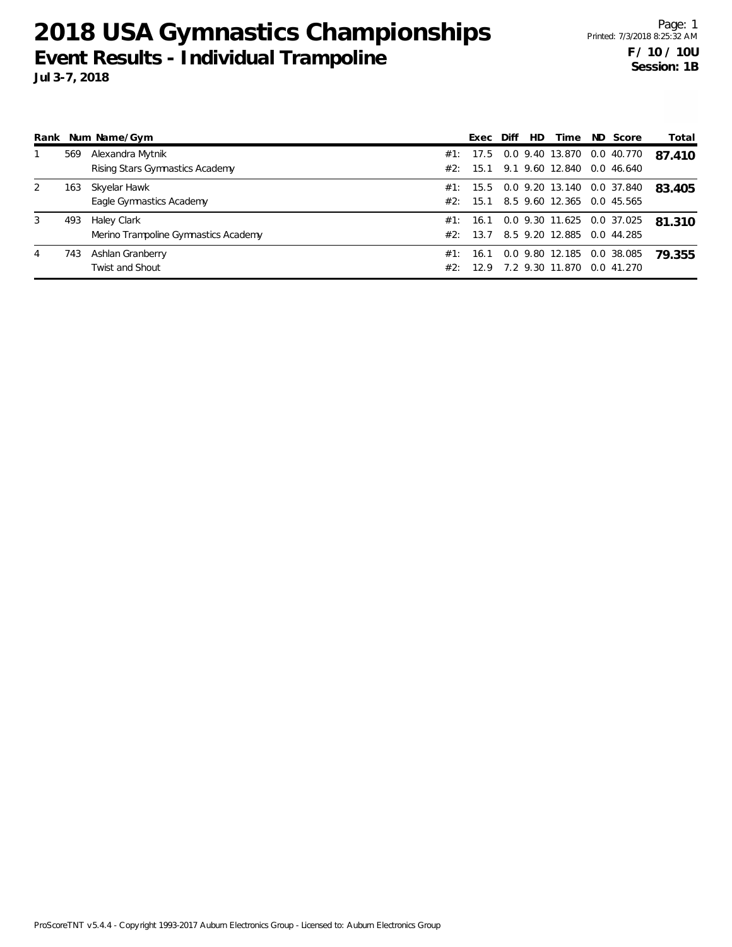| Rank |     | Num Name/Gym                                        |     | Exec             | Diff | HD | Time                                                   | ND Score                 | Total  |
|------|-----|-----------------------------------------------------|-----|------------------|------|----|--------------------------------------------------------|--------------------------|--------|
|      | 569 | Alexandra Mytnik<br>Rising Stars Gymnastics Academy | #2: | 15.1             |      |    | #1: 17.5 0.0 9.40 13.870<br>9.1 9.60 12.840            | 0.0 40.770<br>0.046640   | 87.410 |
|      | 163 | Skyelar Hawk<br>Eagle Gymnastics Academy            |     | #2: 15.1         |      |    | #1: 15.5 0.0 9.20 13.140<br>8.5 9.60 12.365            | 0.0 37.840<br>0.0 45.565 | 83.405 |
| 3    | 493 | Haley Clark<br>Merino Trampoline Gymnastics Academy |     | #2: 13.7         |      |    | #1: 16.1 0.0 9.30 11.625 0.0 37.025<br>8.5 9.20 12.885 | 0.0 44.285               | 81.310 |
| 4    | 743 | Ashlan Granberry<br><b>Twist and Shout</b>          | #1: | 16.1<br>#2: 12.9 |      |    | 0.0 9.80 12.185<br>7.2 9.30 11.870                     | 0.0 38.085<br>0.041.270  | 79.355 |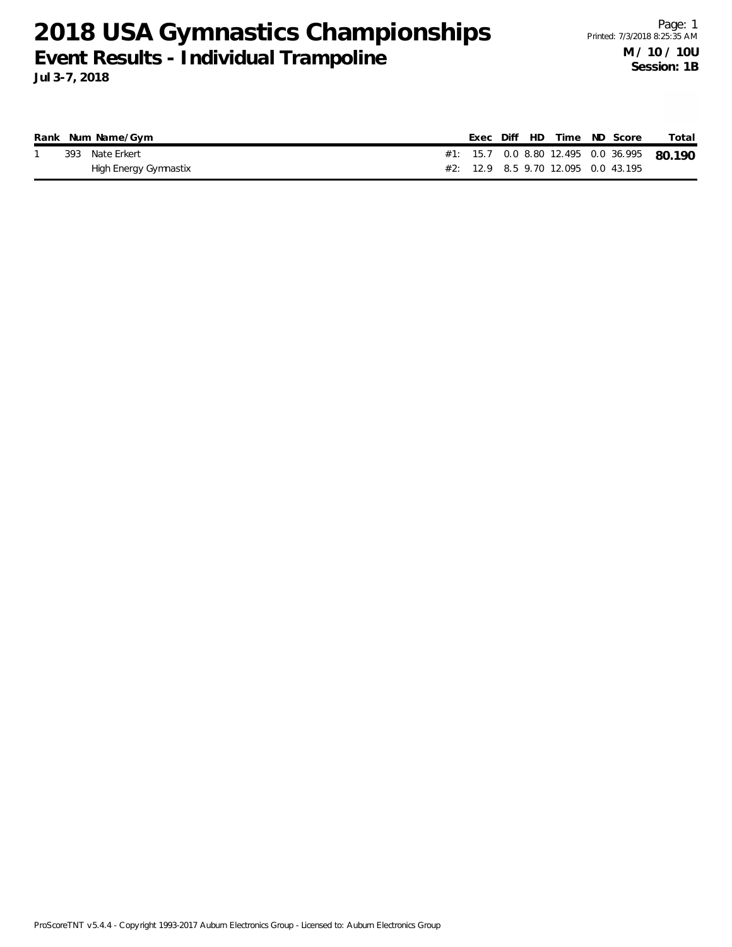**Jul 3-7, 2018**

|  | Rank Num Name/Gym     |  |  | Exec Diff HD Time ND Score |                                     | Total                                      |
|--|-----------------------|--|--|----------------------------|-------------------------------------|--------------------------------------------|
|  | 393 Nate Erkert       |  |  |                            |                                     | #1: 15.7 0.0 8.80 12.495 0.0 36.995 80.190 |
|  | High Energy Gymnastix |  |  |                            | #2: 12.9 8.5 9.70 12.095 0.0 43.195 |                                            |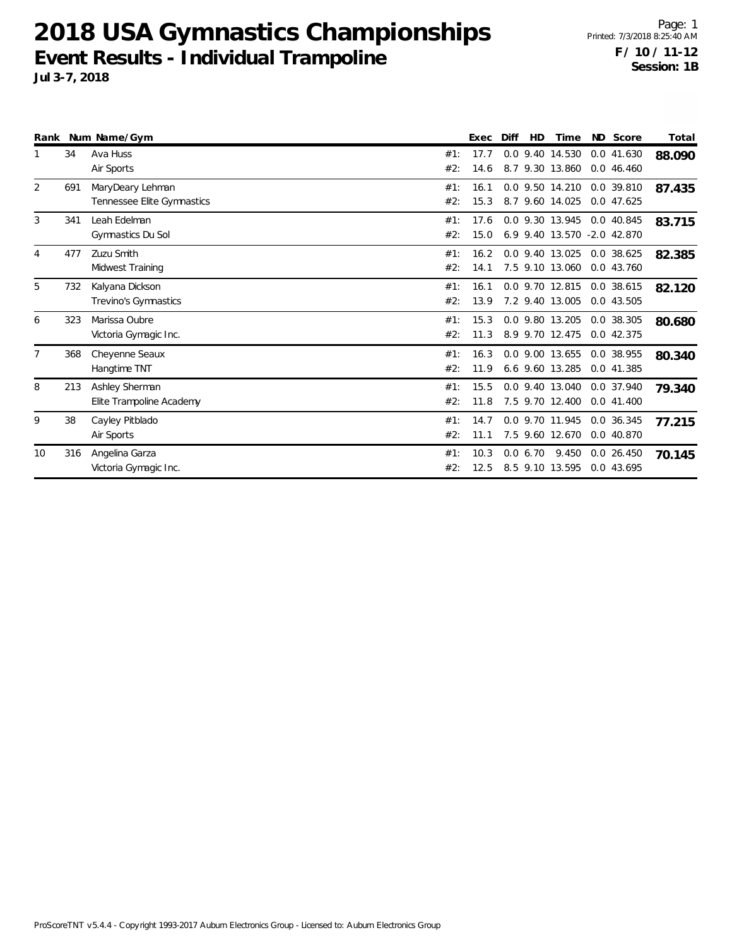|    |     | Rank Num Name/Gym                              |            | Exec         | Diff | HD      | Time                                           | ND Score                   | Total  |
|----|-----|------------------------------------------------|------------|--------------|------|---------|------------------------------------------------|----------------------------|--------|
|    | 34  | Ava Huss<br>Air Sports                         | #1:<br>#2: | 17.7<br>14.6 | 8.7  |         | 0.0 9.40 14.530<br>9.30 13.860                 | 0.0 41.630<br>0.046.460    | 88.090 |
| 2  | 691 | MaryDeary Lehman<br>Tennessee Elite Gymnastics | #1:<br>#2: | 16.1<br>15.3 |      |         | 0.0 9.50 14.210<br>8.7 9.60 14.025             | 0.0 39.810<br>0.047625     | 87.435 |
| 3  | 341 | Leah Edelman<br>Gymnastics Du Sol              | #1:<br>#2: | 17.6<br>15.0 |      |         | 0.0 9.30 13.945<br>6.9 9.40 13.570 -2.0 42.870 | 0.0 40.845                 | 83.715 |
| 4  | 477 | Zuzu Smith<br>Midwest Training                 | #1:<br>#2: | 16.2<br>14.1 |      |         | 0.0 9.40 13.025<br>7.5 9.10 13.060             | 0.0 38.625<br>0.0 43.760   | 82.385 |
| 5  | 732 | Kalyana Dickson<br>Trevino's Gymnastics        | #1:<br>#2: | 16.1<br>13.9 |      |         | 0.0 9.70 12.815<br>7.2 9.40 13.005             | 0.0 38.615<br>0.0 43.505   | 82.120 |
| 6  | 323 | Marissa Oubre<br>Victoria Gymagic Inc.         | #1:<br>#2: | 15.3<br>11.3 |      |         | 0.0 9.80 13.205<br>8.9 9.70 12.475             | 0.0 38.305<br>0.042.375    | 80.680 |
|    | 368 | Cheyenne Seaux<br>Hangtime TNT                 | #1:<br>#2: | 16.3<br>11.9 |      |         | 0.0 9.00 13.655<br>6.6 9.60 13.285             | 0.0 38.955<br>0.041.385    | 80.340 |
| 8  | 213 | Ashley Sherman<br>Elite Trampoline Academy     | #1:<br>#2: | 15.5<br>11.8 |      |         | 0.0 9.40 13.040<br>7.5 9.70 12.400             | 0.0 37.940<br>0.041.400    | 79.340 |
| 9  | 38  | Cayley Pitblado<br>Air Sports                  | #1:<br>#2: | 14.7<br>11.1 |      |         | 0.0 9.70 11.945<br>7.5 9.60 12.670             | 0.0 36.345<br>0.0 40.870   | 77.215 |
| 10 | 316 | Angelina Garza<br>Victoria Gymagic Inc.        | #1:<br>#2: | 10.3<br>12.5 |      | 0.06.70 | 9.450<br>8.5 9.10 13.595                       | $0.0$ 26.450<br>0.0 43.695 | 70.145 |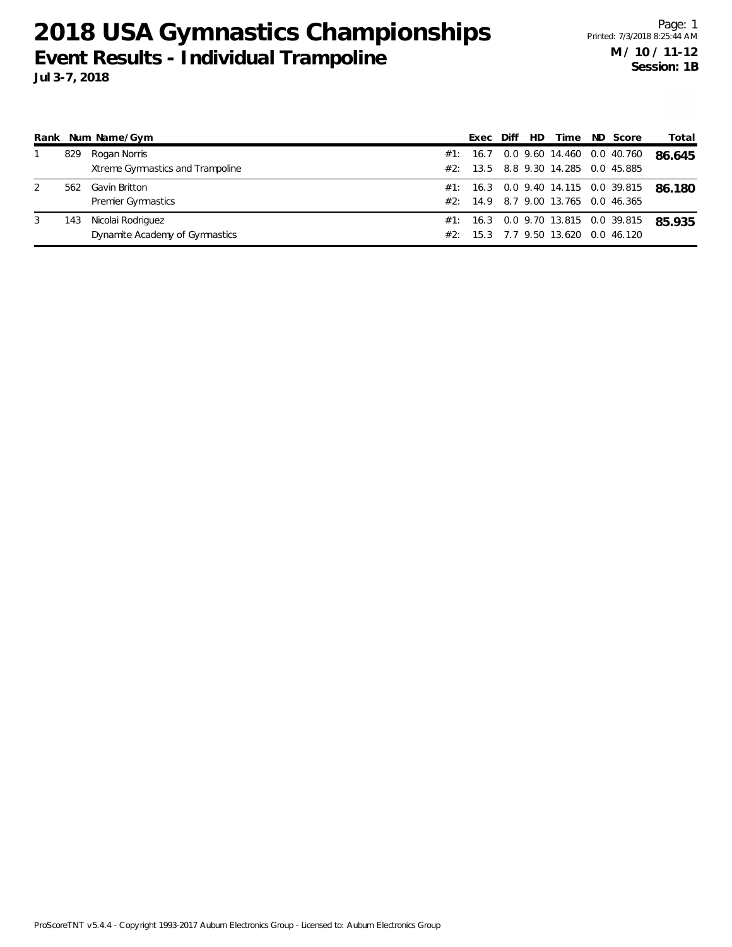|   |     | Rank Num Name/Gym                | Exec | Diff | HD. | Time                                | ND Score | Total  |
|---|-----|----------------------------------|------|------|-----|-------------------------------------|----------|--------|
|   | 829 | Rogan Norris                     |      |      |     | #1: 16.7 0.0 9.60 14.460 0.0 40.760 |          | 86.645 |
|   |     | Xtreme Gymnastics and Trampoline |      |      |     | #2: 13.5 8.8 9.30 14.285 0.0 45.885 |          |        |
| 2 | 562 | Gavin Britton                    |      |      |     | #1: 16.3 0.0 9.40 14.115 0.0 39.815 |          | 86.180 |
|   |     | <b>Premier Gymnastics</b>        |      |      |     | #2: 14.9 8.7 9.00 13.765 0.0 46.365 |          |        |
|   | 143 | Nicolai Rodriguez                |      |      |     | #1: 16.3 0.0 9.70 13.815 0.0 39.815 |          | 85.935 |
|   |     | Dynamite Academy of Gymnastics   | 15.3 |      |     | 7.7 9.50 13.620 0.0 46.120          |          |        |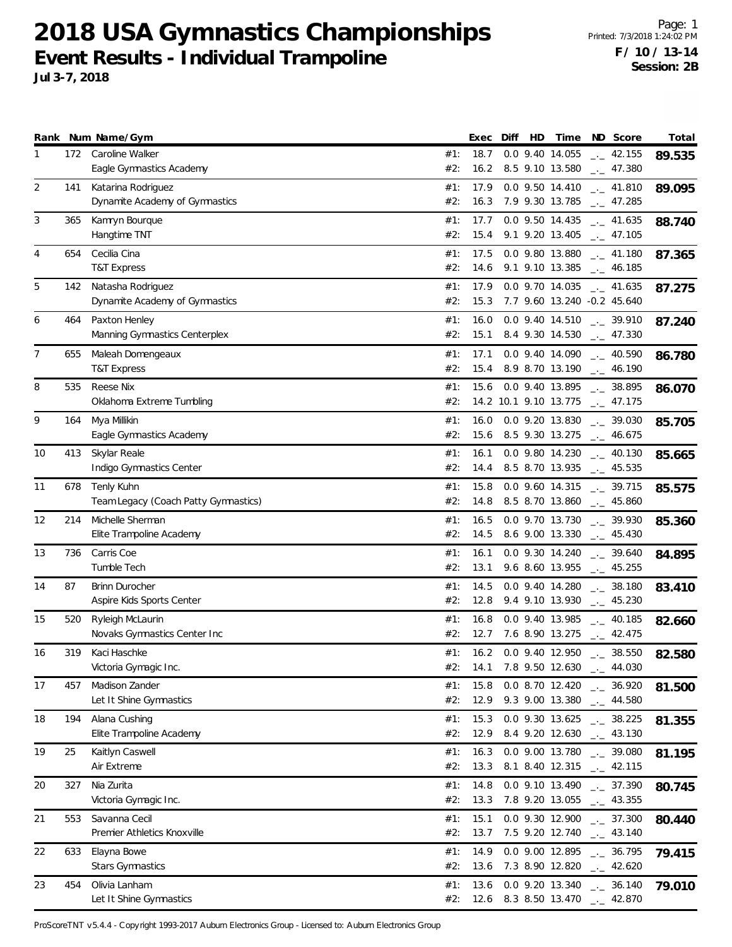Page: 1 Printed: 7/3/2018 1:24:02 PM **F / 10 / 13-14 Session: 2B**

|                |            | Rank Num Name/Gym                                    |                   | Exec         | Diff | HD | Time                               | ND Score                                                                                                     | Total  |
|----------------|------------|------------------------------------------------------|-------------------|--------------|------|----|------------------------------------|--------------------------------------------------------------------------------------------------------------|--------|
| 1              | 172        | Caroline Walker<br>Eagle Gymnastics Academy          | #1:<br>#2:        | 18.7<br>16.2 |      |    | 0.0 9.40 14.055                    | $\sim$ 42.155<br>8.5 9.10 13.580 __ 47.380                                                                   | 89.535 |
| 2              | 141        | Katarina Rodriguez<br>Dynamite Academy of Gymnastics | #1:<br>#2:        | 17.9<br>16.3 |      |    | 0.0 9.50 14.410<br>7.9 9.30 13.785 | $\frac{1}{2}$ 41.810<br>$\frac{1}{2}$ 47.285                                                                 | 89.095 |
| 3              | 365        | Kamryn Bourque<br>Hangtime TNT                       | #1:<br>#2:        | 17.7<br>15.4 |      |    | 0.0 9.50 14.435<br>9.1 9.20 13.405 | $\frac{1}{2}$ 41.635<br>$\sim$ 47.105                                                                        | 88.740 |
| $\overline{4}$ | 654        | Cecilia Cina<br><b>T&amp;T Express</b>               | #1:<br>#2:        | 17.5<br>14.6 |      |    | 0.0 9.80 13.880                    | $\frac{1}{2}$ 41.180<br>9.1 9.10 13.385 $\qquad$ 46.185                                                      | 87.365 |
| 5              | 142        | Natasha Rodriguez<br>Dynamite Academy of Gymnastics  | #1:<br>#2:        | 17.9<br>15.3 |      |    | 0.0 9.70 14.035                    | $\sim$ 41.635<br>7.7 9.60 13.240 -0.2 45.640                                                                 | 87.275 |
| 6              | 464        | Paxton Henley<br>Manning Gymnastics Centerplex       | #1:<br>#2:        | 16.0<br>15.1 |      |    |                                    | $0.0$ 9.40 14.510 $\ldots$ 39.910<br>8.4 9.30 14.530 $\_\_$ 47.330                                           | 87.240 |
| $\overline{7}$ | 655        | Maleah Domengeaux<br><b>T&amp;T Express</b>          | #1:<br>#2:        | 17.1<br>15.4 |      |    |                                    | $0.0$ 9.40 14.090 $_{\leftarrow}$ 40.590<br>8.9 8.70 13.190 . 46.190                                         | 86.780 |
| 8              | 535        | Reese Nix<br>Oklahoma Extreme Tumbling               | #1:<br>#2:        | 15.6         |      |    |                                    | $0.0$ 9.40 13.895 $\ldots$ 38.895<br>14.2 10.1 9.10 13.775 $-$ 47.175                                        | 86.070 |
| 9              | 164        | Mya Millikin<br>Eagle Gymnastics Academy             | #1:<br>#2:        | 16.0<br>15.6 |      |    | 8.5 9.30 13.275                    | $0.0$ 9.20 13.830 $_{\leftarrow}$ 39.030<br>$\frac{1}{2}$ 46.675                                             | 85.705 |
| 10             | 413        | Skylar Reale<br>Indigo Gymnastics Center             | #1:<br>#2:        | 16.1<br>14.4 |      |    | 0.0 9.80 14.230<br>8.5 8.70 13.935 | $\frac{1}{2}$ 40.130<br>$-$ 45.535                                                                           | 85.665 |
| 11             | 678        | Tenly Kuhn<br>Team Legacy (Coach Patty Gymnastics)   | #1:<br>#2:        | 15.8<br>14.8 |      |    |                                    | 0.0 9.60 14.315 $_{\leftarrow}$ 39.715<br>8.5 8.70 13.860 $\qquad$ 45.860                                    | 85.575 |
| 12             | 214        | Michelle Sherman<br>Elite Trampoline Academy         | #1:<br>#2:        | 16.5<br>14.5 |      |    |                                    | $0.0$ 9.70 13.730 $-.$ 39.930<br>8.6 9.00 13.330 $-$ 45.430                                                  | 85.360 |
| 13             | 736        | Carris Coe<br>Tumble Tech                            | #1:<br>#2:        | 16.1<br>13.1 |      |    |                                    | 0.0 9.30 14.240 $\frac{1}{2}$ 39.640<br>9.6 8.60 13.955 $\qquad$ 45.255                                      | 84.895 |
| 14             | 87         | Brinn Durocher<br>Aspire Kids Sports Center          | #1:<br>#2:        | 14.5<br>12.8 |      |    | 0.0 9.40 14.280<br>9.4 9.10 13.930 | $-2$ 38.180<br>$\frac{1}{2}$ 45.230                                                                          | 83.410 |
| 15             | 520        | Ryleigh McLaurin<br>Novaks Gymnastics Center Inc     | #1:<br>#2:        | 16.8<br>12.7 |      |    | 7.6 8.90 13.275                    | 0.0 9.40 13.985 . 40.185<br>$\frac{1}{2}$ 42.475                                                             | 82.660 |
| 16             | 319        | Kaci Haschke<br>Victoria Gymagic Inc.                | #1:               |              |      |    | #2: 14.1 7.8 9.50 12.630           | 16.2 0.0 9.40 12.950 $\frac{1}{2}$ 38.550<br>44.030                                                          | 82.580 |
| 17             | 457        | Madison Zander<br>Let It Shine Gymnastics            | #1:<br>#2:        | 15.8<br>12.9 |      |    |                                    | 0.0 8.70 12.420 $\frac{1}{2}$ 36.920<br>9.3 9.00 13.380 $_{--}$ 44.580                                       | 81.500 |
| 18             | 194        | Alana Cushing<br>Elite Trampoline Academy            | #1:<br>#2:        | 15.3<br>12.9 |      |    |                                    | $0.0$ 9.30 13.625 __ 38.225<br>8.4 9.20 12.630 __ 43.130                                                     | 81.355 |
| 19             | 25         | Kaitlyn Caswell<br>Air Extreme                       | #1:<br>#2:        | 16.3<br>13.3 |      |    |                                    | 0.0 9.00 13.780 $_{\leftarrow}$ 39.080<br>8.1 8.40 12.315 $\qquad$ 42.115                                    | 81.195 |
| 20<br>21       | 327<br>553 | Nia Zurita<br>Victoria Gymagic Inc.<br>Savanna Cecil | #1:<br>#2:        | 14.8<br>15.1 |      |    |                                    | $0.0$ 9.10 13.490 $\_\_$ 37.390<br>13.3 7.8 9.20 13.055 __ 43.355                                            | 80.745 |
| 22             | 633        | Premier Athletics Knoxville<br>Elayna Bowe           | #1:<br>#2:<br>#1: | 13.7<br>14.9 |      |    |                                    | 0.0 9.30 12.900 $\qquad$ - 37.300<br>7.5 9.20 12.740 $\frac{1}{2}$ 43.140<br>0.0 9.00 12.895 $\qquad$ 36.795 | 80.440 |
| 23             | 454        | Stars Gymnastics<br>Olivia Lanham                    | #2:<br>#1:        | 13.6<br>13.6 |      |    |                                    | 7.3 8.90 12.820 $\qquad$ 42.620<br>$0.0$ 9.20 13.340 $\ldots$ 36.140                                         | 79.415 |
|                |            | Let It Shine Gymnastics                              | #2:               |              |      |    |                                    | 12.6 8.3 8.50 13.470 $\qquad \qquad -2.870$                                                                  | 79.010 |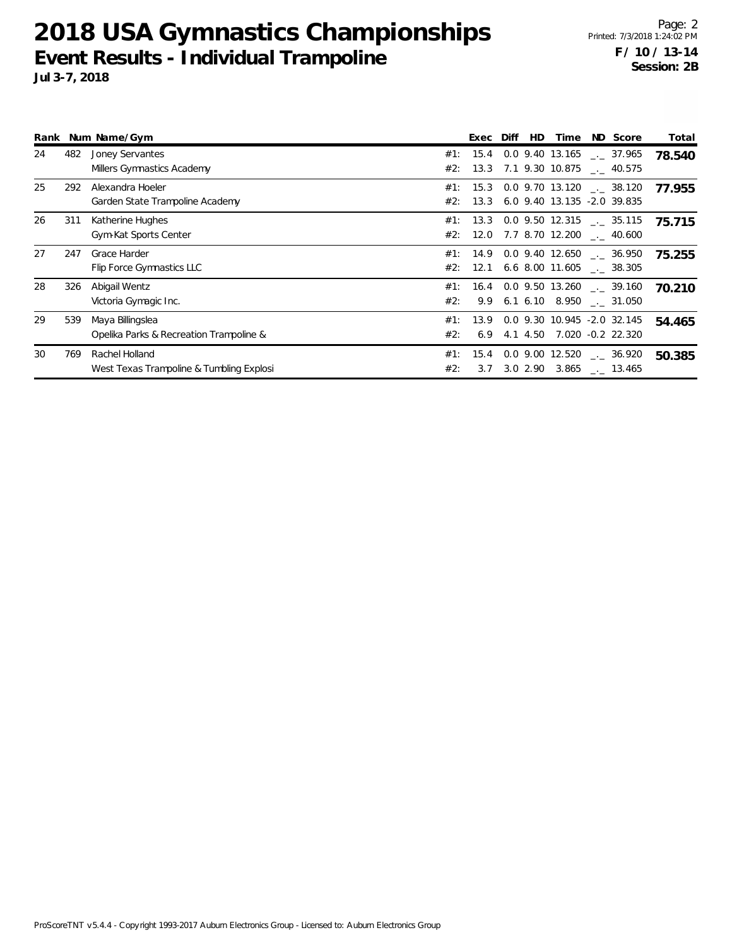|    |     | Rank Num Name/Gym                                           |            | Exec         | Diff | HD         | Time | ND Score                                                             | Total  |
|----|-----|-------------------------------------------------------------|------------|--------------|------|------------|------|----------------------------------------------------------------------|--------|
| 24 | 482 | Joney Servantes<br>Millers Gymnastics Academy               | #1:<br>#2: | 15.4         |      |            |      | 0.0 9.40 13.165 . 37.965<br>13.3 7.1 9.30 10.875 . 40.575            | 78.540 |
| 25 | 292 | Alexandra Hoeler<br>Garden State Trampoline Academy         | #1:<br>#2: | 15.3<br>13.3 |      |            |      | $0.0$ 9.70 13.120 $\ldots$ 38.120<br>6.0 9.40 13.135 -2.0 39.835     | 77.955 |
| 26 | 311 | Katherine Hughes<br>Gym-Kat Sports Center                   | #1:<br>#2: | 13.3<br>12.0 |      |            |      | $0.0$ 9.50 12.315 $\ldots$ 35.115<br>7.7 8.70 12.200 $\qquad$ 40.600 | 75.715 |
| 27 | 247 | Grace Harder<br>Flip Force Gymnastics LLC                   | #1:<br>#2: | 12.1         |      |            |      | $14.9$ 0.0 9.40 12.650 $\_\_$ 36.950<br>6.6 8.00 11.605 . 38.305     | 75.255 |
| 28 | 326 | Abigail Wentz<br>Victoria Gymagic Inc.                      | #1:<br>#2: | 16.4<br>9.9  |      |            |      | $0.0$ 9.50 13.260 $\ldots$ 39.160<br>6.1 6.10 8.950 . 31.050         | 70.210 |
| 29 | 539 | Maya Billingslea<br>Opelika Parks & Recreation Trampoline & | #1:<br>#2: | 13.9<br>6.9  |      | 4.1 4.50   |      | 0.0 9.30 10.945 -2.0 32.145<br>7.020 -0.2 22.320                     | 54.465 |
| 30 | 769 | Rachel Holland<br>West Texas Trampoline & Tumbling Explosi  | #1:<br>#2: | 15.4<br>3.7  |      | $3.0$ 2.90 |      | $0.0$ 9.00 12.520 $-.$ 36.920<br>3.865 . 13.465                      | 50.385 |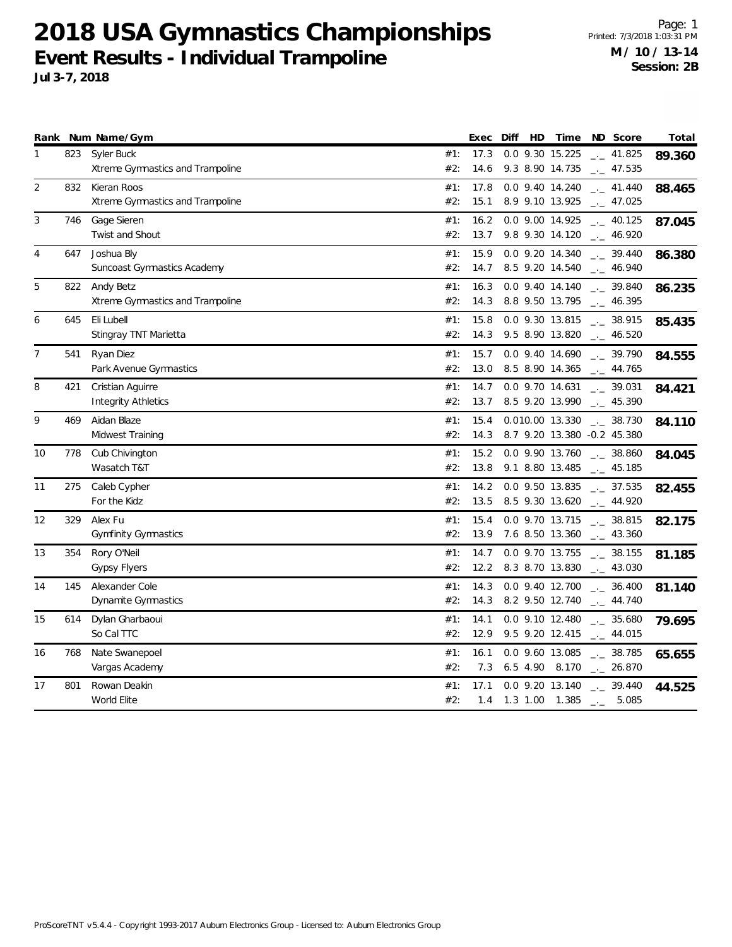Page: 1 Printed: 7/3/2018 1:03:31 PM **M / 10 / 13-14 Session: 2B**

|                |     | Rank Num Name/Gym                |     | Exec | Diff | HD | Time                                 | ND Score                    |                      | Total  |
|----------------|-----|----------------------------------|-----|------|------|----|--------------------------------------|-----------------------------|----------------------|--------|
| 1              | 823 | Syler Buck                       | #1: | 17.3 |      |    | 0.0 9.30 15.225                      | $\frac{1}{2}$ 41.825        |                      | 89.360 |
|                |     | Xtreme Gymnastics and Trampoline | #2: | 14.6 |      |    | 9.3 8.90 14.735                      | $\sim$ 47.535               |                      |        |
| $\overline{2}$ | 832 | Kieran Roos                      | #1: | 17.8 |      |    | 0.0 9.40 14.240                      |                             | $-$ 41.440           | 88.465 |
|                |     | Xtreme Gymnastics and Trampoline | #2: | 15.1 |      |    | 8.9 9.10 13.925                      |                             | $\frac{1}{2}$ 47.025 |        |
| 3              | 746 | Gage Sieren                      | #1: | 16.2 |      |    | 0.0 9.00 14.925                      |                             | $\frac{1}{2}$ 40.125 | 87.045 |
|                |     | Twist and Shout                  | #2: | 13.7 |      |    | 9.8 9.30 14.120                      |                             | $-2$ 46.920          |        |
| 4              | 647 | Joshua Bly                       | #1: | 15.9 |      |    | 0.0 9.20 14.340                      |                             | $\frac{1}{2}$ 39.440 | 86.380 |
|                |     | Suncoast Gymnastics Academy      | #2: | 14.7 |      |    | 8.5 9.20 14.540                      |                             | $\frac{1}{2}$ 46.940 |        |
| 5              | 822 | Andy Betz                        | #1: | 16.3 |      |    | 0.0 9.40 14.140                      | $-2$ 39.840                 |                      | 86.235 |
|                |     | Xtreme Gymnastics and Trampoline | #2: | 14.3 |      |    | 8.8 9.50 13.795                      |                             | $-2$ 46.395          |        |
| 6              | 645 | Eli Lubell                       | #1: | 15.8 |      |    | 0.0 9.30 13.815                      | $\frac{1}{2}$ 38.915        |                      | 85.435 |
|                |     | Stingray TNT Marietta            | #2: | 14.3 |      |    | 9.5 8.90 13.820                      | $\sim$ 46.520               |                      |        |
| $\overline{7}$ | 541 | Ryan Diez                        | #1: | 15.7 |      |    | 0.0 9.40 14.690                      | $\sim$ 39.790               |                      | 84.555 |
|                |     | Park Avenue Gymnastics           | #2: | 13.0 |      |    | 8.5 8.90 14.365 $\qquad$ 44.765      |                             |                      |        |
| 8              | 421 | Cristian Aguirre                 | #1: | 14.7 |      |    | 0.0 9.70 14.631                      | $-2$ 39.031                 |                      | 84.421 |
|                |     | <b>Integrity Athletics</b>       | #2: | 13.7 |      |    | 8.5 9.20 13.990                      | $-2$ 45.390                 |                      |        |
| 9              | 469 | Aidan Blaze                      | #1: | 15.4 |      |    | 0.010.00 13.330                      | $-2$ 38.730                 |                      | 84.110 |
|                |     | Midwest Training                 | #2: | 14.3 |      |    | 8.7 9.20 13.380 -0.2 45.380          |                             |                      |        |
| 10             | 778 | Cub Chivington                   | #1: | 15.2 |      |    | 0.0 9.90 13.760                      | 38.860                      |                      | 84.045 |
|                |     | Wasatch T&T                      | #2: | 13.8 |      |    | 9.1 8.80 13.485                      | $\frac{1}{2}$ 45.185        |                      |        |
| 11             | 275 | Caleb Cypher                     | #1: | 14.2 |      |    | 0.0 9.50 13.835                      |                             | $-2$ 37.535          | 82.455 |
|                |     | For the Kidz                     | #2: | 13.5 |      |    | 8.5 9.30 13.620                      |                             | $-2$ 44.920          |        |
| 12             | 329 | Alex Fu                          | #1: | 15.4 |      |    | 0.0 9.70 13.715                      | $_{-}$ 38.815               |                      | 82.175 |
|                |     | <b>Gymfinity Gymnastics</b>      | #2: | 13.9 |      |    | 7.6 8.50 13.360                      | $\frac{1}{2}$ 43.360        |                      |        |
| 13             | 354 | Rory O'Neil                      | #1: | 14.7 |      |    | 0.0 9.70 13.755                      | $\frac{1}{2}$ 38.155        |                      | 81.185 |
|                |     | <b>Gypsy Flyers</b>              | #2: | 12.2 |      |    | 8.3 8.70 13.830                      | $\sim$ 43.030               |                      |        |
| 14             | 145 | Alexander Cole                   | #1: | 14.3 |      |    | 0.0 9.40 12.700                      | $-2$ 36.400                 |                      | 81.140 |
|                |     | Dynamite Gymnastics              | #2: | 14.3 |      |    | 8.2 9.50 12.740                      | $-1$ 44.740                 |                      |        |
| 15             | 614 | Dylan Gharbaoui                  | #1: | 14.1 |      |    | $0.0$ 9.10 12.480                    | $\frac{1}{2}$ 35.680        |                      | 79.695 |
|                |     | So Cal TTC                       | #2: | 12.9 |      |    | 9.5 9.20 12.415                      | $\frac{1}{2}$ 44.015        |                      |        |
| 16             | 768 | Nate Swanepoel                   | #1: | 16.1 |      |    | 0.0 9.60 13.085                      |                             | $\frac{1}{2}$ 38.785 | 65.655 |
|                |     | Vargas Academy                   | #2: | 7.3  |      |    | 6.5 4.90 8.170                       | $\frac{1}{2}$ 26.870        |                      |        |
| 17             | 801 | Rowan Deakin                     | #1: | 17.1 |      |    | 0.0 9.20 13.140 $\frac{1}{2}$ 39.440 |                             |                      | 44.525 |
|                |     | World Elite                      | #2: | 1.4  |      |    | 1.3 1.00 1.385                       | $\rightarrow$ $\rightarrow$ | 5.085                |        |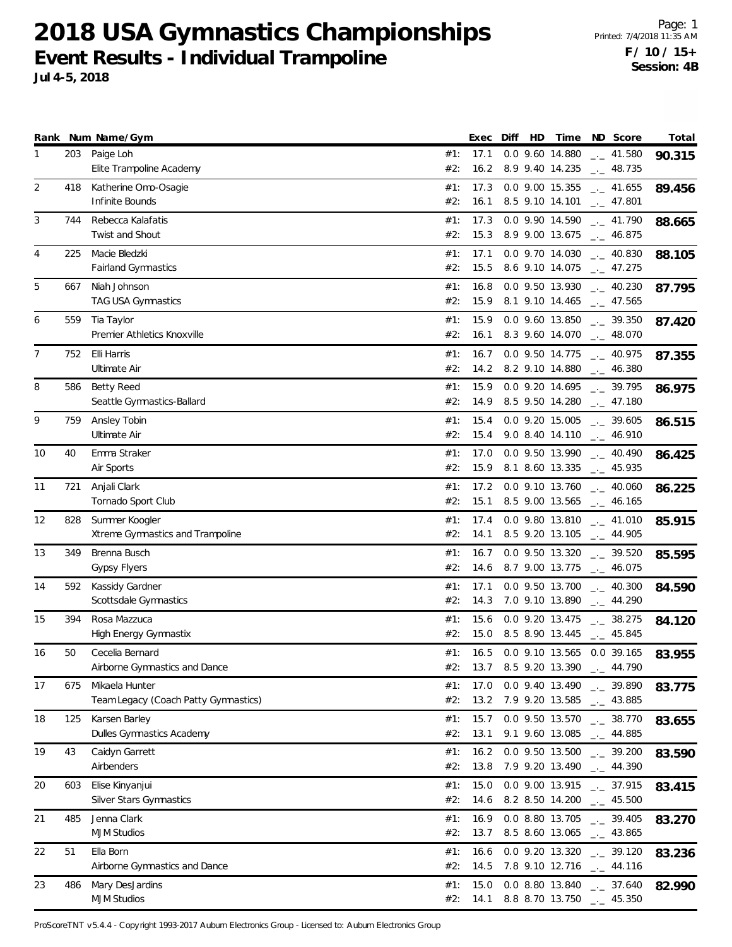Page: 1 Printed: 7/4/2018 11:35 AM **F / 10 / 15+ Session: 4B**

|                |     | Rank Num Name/Gym                    |            | Exec         | Diff | HD | Time                 | ND Score                                     | Total  |
|----------------|-----|--------------------------------------|------------|--------------|------|----|----------------------|----------------------------------------------|--------|
| 1              | 203 | Paige Loh                            | #1:        | 17.1         |      |    | 0.0 9.60 14.880      | $-2$ 41.580                                  | 90.315 |
|                |     | Elite Trampoline Academy             | #2:        | 16.2         |      |    | 8.9 9.40 14.235      | $-2$ 48.735                                  |        |
| $\overline{2}$ | 418 | Katherine Omo-Osagie                 | #1:        | 17.3         |      |    | 0.0 9.00 15.355      | $\frac{1}{2}$ 41.655                         | 89.456 |
|                |     | Infinite Bounds                      | #2:        | 16.1         |      |    | 8.5 9.10 14.101      | $\frac{1}{2}$ 47.801                         |        |
| 3              | 744 | Rebecca Kalafatis                    | #1:        | 17.3         |      |    | 0.0 9.90 14.590      | $-1$ 41.790                                  |        |
|                |     | <b>Twist and Shout</b>               | #2:        | 15.3         |      |    | 8.9 9.00 13.675      | $-1 - 46.875$                                | 88.665 |
|                | 225 | Macie Bledzki                        | #1:        | 17.1         |      |    | 0.0 9.70 14.030      |                                              |        |
| 4              |     | Fairland Gymnastics                  | #2:        | 15.5         |      |    | 8.6 9.10 14.075      | $\frac{1}{2}$ 40.830<br>$\frac{1}{2}$ 47.275 | 88.105 |
|                |     |                                      |            |              |      |    |                      |                                              |        |
| 5              | 667 | Niah Johnson                         | #1:        | 16.8         |      |    | 0.0 9.50 13.930      | 40.230                                       | 87.795 |
|                |     | TAG USA Gymnastics                   | #2:        | 15.9         |      |    | 8.1 9.10 14.465      | $\frac{1}{2}$ 47.565                         |        |
| 6              | 559 | Tia Taylor                           | #1:        | 15.9         |      |    | 0.0 9.60 13.850      | $-2$ 39.350                                  | 87.420 |
|                |     | Premier Athletics Knoxville          | #2:        | 16.1         |      |    | 8.3 9.60 14.070      | $\sim$ 48.070                                |        |
| 7              | 752 | Elli Harris                          | #1:        | 16.7         |      |    | 0.0 9.50 14.775      | $\frac{1}{2}$ 40.975                         | 87.355 |
|                |     | Ultimate Air                         | #2:        | 14.2         |      |    | 8.2 9.10 14.880      | $-2$ 46.380                                  |        |
| 8              | 586 | Betty Reed                           | #1:        | 15.9         |      |    | 0.0 9.20 14.695      | $\frac{1}{2}$ 39.795                         | 86.975 |
|                |     | Seattle Gymnastics-Ballard           | #2:        | 14.9         |      |    | 8.5 9.50 14.280      | $\frac{1}{2}$ 47.180                         |        |
| 9              | 759 | Ansley Tobin                         | #1:        | 15.4         |      |    | 0.0 9.20 15.005      | $-2.39.605$                                  |        |
|                |     | Ultimate Air                         | #2:        | 15.4         |      |    | 9.0 8.40 14.110      | $_{--}$ 46.910                               | 86.515 |
|                |     |                                      |            |              |      |    |                      |                                              |        |
| 10             | 40  | Emma Straker                         | #1:<br>#2: | 17.0<br>15.9 |      |    | 0.0 9.50 13.990      | $\frac{1}{2}$ 40.490                         | 86.425 |
|                |     | Air Sports                           |            |              |      |    | 8.1 8.60 13.335      | $-1 - 45.935$                                |        |
| 11             | 721 | Anjali Clark                         | #1:        | 17.2         |      |    | 0.0 9.10 13.760      | $-2$ 40.060                                  | 86.225 |
|                |     | Tornado Sport Club                   | #2:        | 15.1         |      |    | 8.5 9.00 13.565      | $\frac{1}{2}$ 46.165                         |        |
| 12             | 828 | Summer Koogler                       | #1:        | 17.4         |      |    | 0.0 9.80 13.810      | $-2$ 41.010                                  | 85.915 |
|                |     | Xtreme Gymnastics and Trampoline     | #2:        | 14.1         |      |    | 8.5 9.20 13.105      | $-1$ 44.905                                  |        |
| 13             | 349 | Brenna Busch                         | #1:        | 16.7         |      |    | 0.0 9.50 13.320      | $\frac{1}{2}$ 39.520                         | 85.595 |
|                |     | <b>Gypsy Flyers</b>                  | #2:        | 14.6         |      |    | 8.7 9.00 13.775      | $\frac{1}{2}$ 46.075                         |        |
| 14             | 592 | Kassidy Gardner                      | #1:        | 17.1         |      |    | 0.0 9.50 13.700      | $\frac{1}{2}$ 40.300                         | 84.590 |
|                |     | Scottsdale Gymnastics                | #2:        | 14.3         |      |    | 7.0 9.10 13.890      | $-2$ 44.290                                  |        |
| 15             | 394 | Rosa Mazzuca                         | #1:        | 15.6         |      |    | 0.0 9.20 13.475      | $\frac{1}{2}$ 38.275                         | 84.120 |
|                |     | <b>High Energy Gymnastix</b>         | #2:        | 15.0         |      |    | 8.5 8.90 13.445      | $\sim$ 45.845                                |        |
| 16             | 50  | Cecelia Bernard                      | #1:        | 16.5         |      |    |                      | 0.0 9.10 13.565 0.0 39.165                   |        |
|                |     | Airborne Gymnastics and Dance        | #2:        |              |      |    | 13.7 8.5 9.20 13.390 | $-44.790$                                    | 83.955 |
|                |     |                                      |            |              |      |    |                      |                                              |        |
| 17             | 675 | Mikaela Hunter                       | #1:        | 17.0         |      |    | 0.0 9.40 13.490      | $-2.39.890$                                  | 83.775 |
|                |     | Team Legacy (Coach Patty Gymnastics) | #2:        |              |      |    | 13.2 7.9 9.20 13.585 | $\frac{1}{2}$ 43.885                         |        |
| 18             | 125 | Karsen Barley                        | #1:        | 15.7         |      |    | 0.0 9.50 13.570      | $\sim$ 38.770                                | 83.655 |
|                |     | Dulles Gymnastics Academy            | #2:        | 13.1         |      |    | 9.1 9.60 13.085      | $\frac{1}{2}$ 44.885                         |        |
| 19             | 43  | Caidyn Garrett                       | #1:        | 16.2         |      |    | 0.0 9.50 13.500      | $-2$ 39.200                                  | 83.590 |
|                |     | Airbenders                           | #2:        | 13.8         |      |    | 7.9 9.20 13.490      | $-2$ 44.390                                  |        |
| 20             | 603 | Elise Kinyanjui                      | #1:        | 15.0         |      |    | 0.0 9.00 13.915      | $\frac{1}{2}$ 37.915                         | 83.415 |
|                |     | Silver Stars Gymnastics              | #2:        | 14.6         |      |    | 8.2 8.50 14.200      | $\frac{1}{2}$ 45.500                         |        |
| 21             | 485 | Jenna Clark                          | #1:        | 16.9         |      |    | 0.0 8.80 13.705      | $-2$ 39.405                                  |        |
|                |     | <b>MJM Studios</b>                   | #2:        | 13.7         |      |    | 8.5 8.60 13.065      | $\frac{1}{2}$ 43.865                         | 83.270 |
|                |     |                                      |            |              |      |    |                      |                                              |        |
| 22             | 51  | Ella Born                            | #1:        | 16.6         |      |    |                      | $0.0$ 9.20 13.320 $_{\leftarrow}$ 39.120     | 83.236 |
|                |     | Airborne Gymnastics and Dance        | #2:        |              |      |    |                      | 14.5 7.8 9.10 12.716 $-$ 44.116              |        |

23 486 Mary DesJardins 13.840 \_.\_ **82.990** 37.640 #1: 15.0 0.0 8.80

#2: 14.1 8.8 8.70 13.750 \_\_ 45.350

ProScoreTNT v5.4.4 - Copyright 1993-2017 Auburn Electronics Group - Licensed to: Auburn Electronics Group

MJM Studios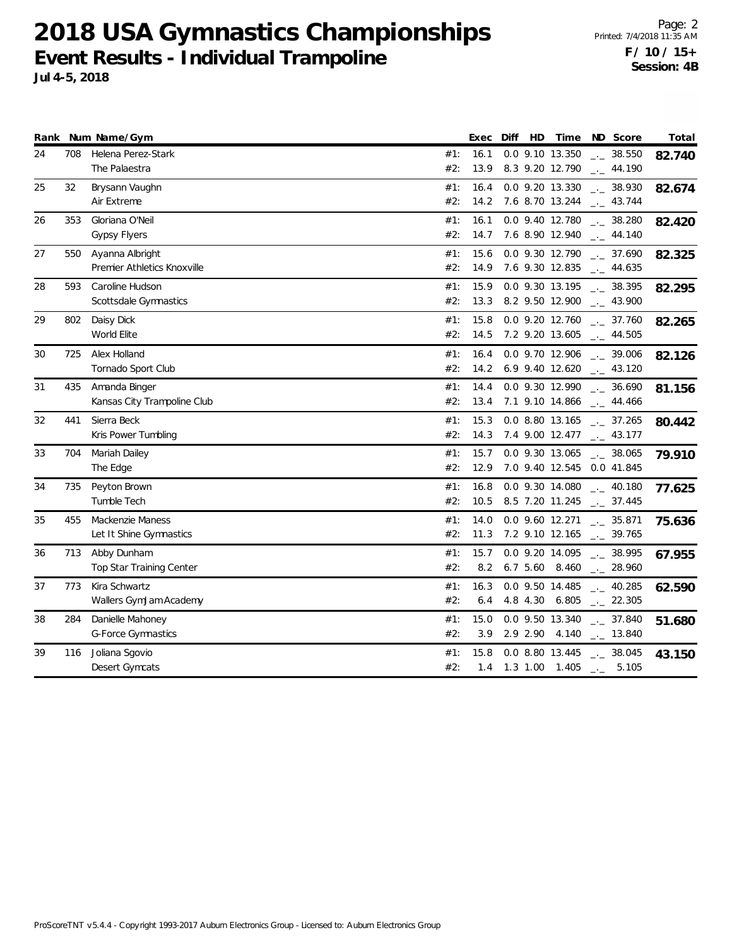Page: 2 Printed: 7/4/2018 11:35 AM **F / 10 / 15+ Session: 4B**

#2: 1.4 1.3 1.00 1.405 \_\_ 5.105

|    |     | Rank Num Name/Gym                              |            | Exec         | Diff | HD       | Time                               | ND Score                                     | Total  |
|----|-----|------------------------------------------------|------------|--------------|------|----------|------------------------------------|----------------------------------------------|--------|
| 24 | 708 | Helena Perez-Stark<br>The Palaestra            | #1:<br>#2: | 16.1<br>13.9 |      |          | 0.0 9.10 13.350<br>8.3 9.20 12.790 | $-2$ 38.550<br>$-2$ 44.190                   | 82.740 |
| 25 | 32  | Brysann Vaughn<br>Air Extreme                  | #1:<br>#2: | 16.4<br>14.2 |      |          | 0.0 9.20 13.330<br>7.6 8.70 13.244 | $\frac{1}{2}$ 38.930<br>$-2$ 43.744          | 82.674 |
| 26 | 353 | Gloriana O'Neil<br><b>Gypsy Flyers</b>         | #1:<br>#2: | 16.1<br>14.7 |      |          | 0.0 9.40 12.780<br>7.6 8.90 12.940 | $-2$ 38.280<br>$\frac{1}{2}$ 44.140          | 82.420 |
| 27 | 550 | Ayanna Albright<br>Premier Athletics Knoxville | #1:<br>#2: | 15.6<br>14.9 |      |          | 0.0 9.30 12.790<br>7.6 9.30 12.835 | $-2$ 37.690<br>$-1$ 44.635                   | 82.325 |
| 28 | 593 | Caroline Hudson<br>Scottsdale Gymnastics       | #1:<br>#2: | 15.9<br>13.3 |      |          | 0.0 9.30 13.195<br>8.2 9.50 12.900 | 38.395<br>$-2$ 43.900                        | 82.295 |
| 29 | 802 | Daisy Dick<br>World Elite                      | #1:<br>#2: | 15.8<br>14.5 |      |          | 0.0 9.20 12.760<br>7.2 9.20 13.605 | $\frac{1}{2}$ 37.760<br>$\frac{1}{2}$ 44.505 | 82.265 |
| 30 | 725 | Alex Holland<br>Tornado Sport Club             | #1:<br>#2: | 16.4<br>14.2 |      |          | 0.0 9.70 12.906<br>6.9 9.40 12.620 | $\frac{1}{2}$ 39.006<br>$-2$ 43.120          | 82.126 |
| 31 | 435 | Amanda Binger<br>Kansas City Trampoline Club   | #1:<br>#2: | 14.4<br>13.4 |      |          | 0.0 9.30 12.990<br>7.1 9.10 14.866 | $\frac{1}{2}$ 36.690<br>$\frac{1}{2}$ 44.466 | 81.156 |
| 32 | 441 | Sierra Beck<br>Kris Power Tumbling             | #1:<br>#2: | 15.3<br>14.3 |      |          | 0.0 8.80 13.165<br>7.4 9.00 12.477 | $\frac{1}{2}$ 37.265<br>$\frac{1}{2}$ 43.177 | 80.442 |
| 33 | 704 | Mariah Dailey<br>The Edge                      | #1:<br>#2: | 15.7<br>12.9 |      |          | 0.0 9.30 13.065<br>7.0 9.40 12.545 | $\frac{1}{2}$ 38.065<br>0.0 41.845           | 79.910 |
| 34 | 735 | Peyton Brown<br>Tumble Tech                    | #1:<br>#2: | 16.8<br>10.5 |      |          | 0.0 9.30 14.080<br>8.5 7.20 11.245 | $-2$ 40.180<br>$\frac{1}{2}$ 37.445          | 77.625 |
| 35 | 455 | Mackenzie Maness<br>Let It Shine Gymnastics    | #1:<br>#2: | 14.0<br>11.3 |      |          | 0.0 9.60 12.271<br>7.2 9.10 12.165 | $\overline{C}_{12}$ 35.871<br>$-2$ 39.765    | 75.636 |
| 36 | 713 | Abby Dunham<br>Top Star Training Center        | #1:<br>#2: | 15.7<br>8.2  |      |          | 0.0 9.20 14.095<br>6.7 5.60 8.460  | 38.995<br>$-28.960$                          | 67.955 |
| 37 | 773 | Kira Schwartz<br>Wallers GymJam Academy        | #1:<br>#2: | 16.3<br>6.4  |      |          | 0.0 9.50 14.485<br>4.8 4.30 6.805  | $-2$ 40.285<br>$-.22.305$                    | 62.590 |
| 38 | 284 | Danielle Mahoney<br><b>G-Force Gymnastics</b>  | #1:<br>#2: | 15.0<br>3.9  |      | 2.9 2.90 | 0.0 9.50 13.340<br>4.140           | $\frac{1}{2}$ 37.840<br>$-13.840$            | 51.680 |
| 39 | 116 | Joliana Sgovio                                 | #1:        | 15.8         |      |          | 0.0 8.80 13.445                    | $\frac{1}{2}$ 38.045                         | 43.150 |

ProScoreTNT v5.4.4 - Copyright 1993-2017 Auburn Electronics Group - Licensed to: Auburn Electronics Group

Desert Gymcats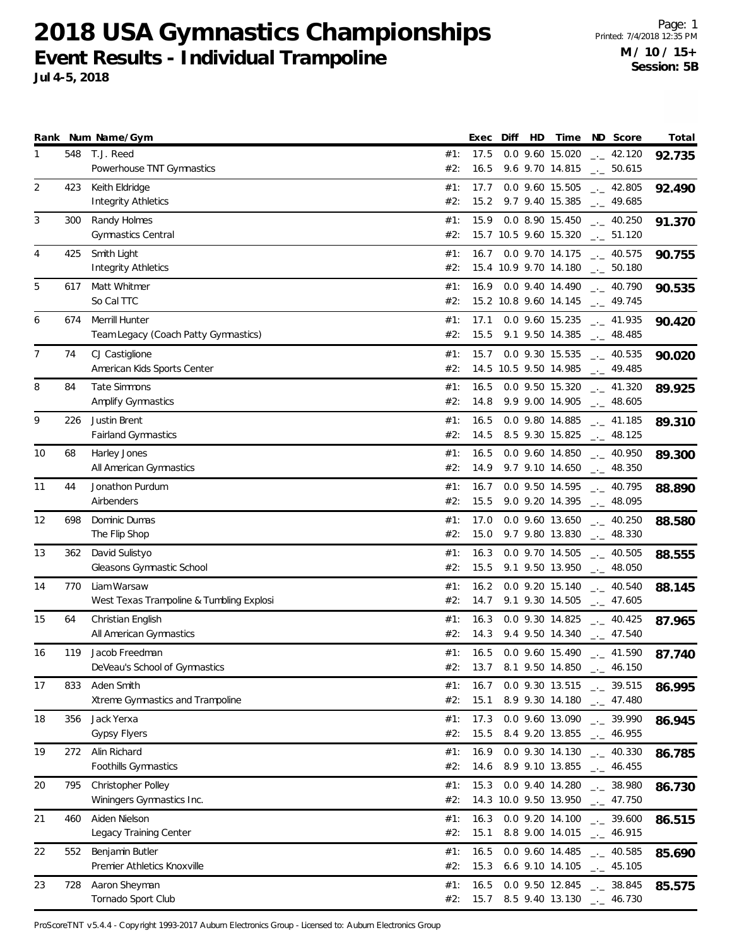Page: 1 Printed: 7/4/2018 12:35 PM **M / 10 / 15+ Session: 5B**

|                | Jul 4-5, 2018 | EVEIII RESUITS - THUIVIUUAI TEAHIPOIIHE                |            |              |    |                              |                                                                                  | Session: 5B |
|----------------|---------------|--------------------------------------------------------|------------|--------------|----|------------------------------|----------------------------------------------------------------------------------|-------------|
|                |               | Rank Num Name/Gym                                      |            | Exec Diff    | HD | Time                         | ND Score                                                                         | Total       |
|                | 548           | T.J. Reed<br>Powerhouse TNT Gymnastics                 | #1:<br>#2: | 17.5<br>16.5 |    |                              | $0.0$ 9.60 15.020 $-.$ 42.120<br>9.6 9.70 14.815 $\qquad$ 50.615                 | 92.735      |
| $\overline{2}$ | 423           | Keith Eldridge<br><b>Integrity Athletics</b>           | #1:<br>#2: |              |    |                              | 17.7 0.0 9.60 15.505 __ 42.805<br>15.2 9.7 9.40 15.385 __ 49.685                 | 92.490      |
| 3              | 300           | Randy Holmes<br><b>Gymnastics Central</b>              | #1:<br>#2: |              |    |                              | 15.9 0.0 8.90 15.450 __ 40.250<br>15.7 10.5 9.60 15.320 . 51.120                 | 91.370      |
| 4              | 425           | Smith Light<br>Integrity Athletics                     | #1:<br>#2: |              |    |                              | 16.7 0.0 9.70 14.175 . 40.575<br>15.4 10.9 9.70 14.180 __ 50.180                 | 90.755      |
| 5              | 617           | Matt Whitmer<br>So Cal TTC                             | #1:<br>#2: |              |    |                              | 16.9 0.0 9.40 14.490 $_{\leftarrow}$ 40.790<br>15.2 10.8 9.60 14.145 ___ 49.745  | 90.535      |
| 6              | 674           | Merrill Hunter<br>Team Legacy (Coach Patty Gymnastics) | #1:<br>#2: |              |    |                              | 17.1 0.0 9.60 15.235 . 41.935<br>$15.5$ 9.1 9.50 14.385 $\text{---}$ 48.485      | 90.420      |
|                | 74            | CJ Castiglione<br>American Kids Sports Center          | #1:<br>#2: |              |    |                              | 15.7 0.0 9.30 15.535 __ 40.535<br>14.5 10.5 9.50 14.985 __ 49.485                | 90.020      |
| 8              | 84            | Tate Simmons<br><b>Amplify Gymnastics</b>              | #1:<br>#2: | 16.5         |    |                              | $0.0$ 9.50 15.320 $\ldots$ 41.320<br>14.8 9.9 9.00 14.905 $_{\leftarrow}$ 48.605 | 89.925      |
| 9              |               | 226 Justin Brent                                       |            |              |    | $\#1$ : 16.5 0.0 9.80 14.885 | 41.185                                                                           | 20 21 O     |

| 674<br>Merrill Hunter<br>#1:<br>17.1<br>6<br>0.0 9.60 15.235<br>$\frac{1}{2}$ 41.935<br>90.420<br>#2:<br>15.5<br>9.1 9.50 14.385<br>Team Legacy (Coach Patty Gymnastics)<br>$\frac{1}{2}$ 48.485<br>7<br>CJ Castiglione<br>15.7<br>0.0 9.30 15.535<br>74<br>#1:<br>$\frac{1}{2}$ 40.535<br>90.020<br>American Kids Sports Center<br>14.5 10.5 9.50 14.985<br>#2:<br>$-$ 49.485<br>8<br><b>Tate Simmons</b><br>84<br>0.0 9.50 15.320<br>#1:<br>16.5<br>$\frac{1}{2}$ 41.320<br>89.925<br>Amplify Gymnastics<br>9.9 9.00 14.905<br>#2:<br>14.8<br>$-2$ 48.605<br>9<br>Justin Brent<br>226<br>#1:<br>16.5<br>0.0 9.80 14.885<br>$\frac{1}{2}$ 41.185<br>89.310<br><b>Fairland Gymnastics</b><br>#2:<br>14.5<br>8.5 9.30 15.825<br>$\frac{1}{2}$ 48.125<br>68<br>Harley Jones<br>16.5<br>0.0 9.60 14.850<br>10<br>#1:<br>$-2$ 40.950<br>89.300<br>All American Gymnastics<br>#2:<br>9.7 9.10 14.650<br>14.9<br>$\frac{1}{2}$ 48.350<br>11<br>Jonathon Purdum<br>16.7<br>0.0 9.50 14.595<br>44<br>#1:<br>$-1 - 40.795$<br>88.890<br>Airbenders<br>#2:<br>15.5<br>9.0 9.20 14.395<br>$\frac{1}{2}$ 48.095<br>Dominic Dumas<br>12<br>698<br>#1:<br>17.0<br>0.0 9.60 13.650<br>$\frac{1}{2}$ 40.250<br>88.580<br>The Flip Shop<br>15.0<br>9.7 9.80 13.830<br>#2:<br>$\frac{1}{2}$ 48.330<br>David Sulistyo<br>#1:<br>16.3<br>0.0 9.70 14.505<br>13<br>362<br>$\frac{1}{2}$ 40.505<br>88.555<br>Gleasons Gymnastic School<br>#2:<br>15.5<br>9.1 9.50 13.950<br>$-1 - 48.050$<br>Liam Warsaw<br>16.2<br>14<br>770<br>#1:<br>0.0 9.20 15.140<br>$\frac{1}{2}$ 40.540<br>88.145<br>#2:<br>West Texas Trampoline & Tumbling Explosi<br>14.7<br>9.1 9.30 14.505<br>$\frac{1}{2}$ 47.605<br>15<br>Christian English<br>16.3<br>64<br>#1:<br>0.0 9.30 14.825<br>$\frac{1}{2}$ 40.425<br>87.965<br>All American Gymnastics<br>#2:<br>14.3<br>9.4 9.50 14.340<br>$\sim$ 47.540<br>Jacob Freedman<br>16.5<br>0.0 9.60 15.490<br>119<br>#1:<br>16<br>$\frac{1}{2}$ 41.590<br>87.740<br>DeVeau's School of Gymnastics<br>8.1 9.50 14.850<br>#2:<br>13.7<br>$-2$ 46.150<br>Aden Smith<br>833<br>#1:<br>16.7<br>0.0 9.30 13.515<br>17<br>$\frac{1}{2}$ 39.515<br>86.995<br>#2:<br>15.1<br>8.9 9.30 14.180<br>Xtreme Gymnastics and Trampoline<br>$-$ 47.480<br>Jack Yerxa<br>17.3<br>18<br>356<br>#1:<br>0.0 9.60 13.090<br>$-2$ 39.990<br>86.945<br>15.5<br><b>Gypsy Flyers</b><br>#2:<br>8.4 9.20 13.855<br>$-2$ 46.955<br>Alin Richard<br>19<br>16.9<br>0.0 9.30 14.130<br>272<br>#1:<br>$\frac{1}{2}$ 40.330<br>86.785<br>Foothills Gymnastics<br>8.9 9.10 13.855<br>#2:<br>14.6<br>$-1$ 46.455<br>795<br><b>Christopher Polley</b><br>0.0 9.40 14.280<br>20<br>#1:<br>15.3<br>$-2$ 38.980<br>86.730<br>14.3 10.0 9.50 13.950<br>Winingers Gymnastics Inc.<br>#2:<br>$-2$ 47.750<br>21<br>460<br>16.3 0.0 9.20 14.100<br>$-2$ 39.600<br>Aiden Nielson<br>#1:<br>86.515<br>Legacy Training Center<br>15.1<br>8.8 9.00 14.015 $_{\leftarrow}$ 46.915<br>#2:<br>22<br>552<br>Benjamin Butler<br>16.5<br>0.0 9.60 14.485 $_{\leftarrow}$ 40.585<br>#1:<br>85.690<br>Premier Athletics Knoxville<br>15.3<br>#2:<br>6.6 9.10 14.105 $\_\_$ 45.105<br>Aaron Sheyman<br>16.5<br>23<br>728<br>0.0 9.50 12.845 $_{\leftarrow}$ 38.845<br>#1:<br>85.575<br>Tornado Sport Club<br>#2: 15.7 8.5 9.40 13.130 $\text{\_}2$ 46.730 | 5 | 617 | Matt Whitmer<br>So Cal TTC | 0.0 9.40 14.490<br>$-2$ 40.790<br>#1:<br>16.9<br>90.535<br>15.2 10.8 9.60 14.145<br>#2:<br>$-2$ 49.745 |
|-------------------------------------------------------------------------------------------------------------------------------------------------------------------------------------------------------------------------------------------------------------------------------------------------------------------------------------------------------------------------------------------------------------------------------------------------------------------------------------------------------------------------------------------------------------------------------------------------------------------------------------------------------------------------------------------------------------------------------------------------------------------------------------------------------------------------------------------------------------------------------------------------------------------------------------------------------------------------------------------------------------------------------------------------------------------------------------------------------------------------------------------------------------------------------------------------------------------------------------------------------------------------------------------------------------------------------------------------------------------------------------------------------------------------------------------------------------------------------------------------------------------------------------------------------------------------------------------------------------------------------------------------------------------------------------------------------------------------------------------------------------------------------------------------------------------------------------------------------------------------------------------------------------------------------------------------------------------------------------------------------------------------------------------------------------------------------------------------------------------------------------------------------------------------------------------------------------------------------------------------------------------------------------------------------------------------------------------------------------------------------------------------------------------------------------------------------------------------------------------------------------------------------------------------------------------------------------------------------------------------------------------------------------------------------------------------------------------------------------------------------------------------------------------------------------------------------------------------------------------------------------------------------------------------------------------------------------------------------------------------------------------------------------------------------------------------------------------------------------------------------------------------------------------------------------------------------------------------------------------------------------------------------------------------|---|-----|----------------------------|--------------------------------------------------------------------------------------------------------|
|                                                                                                                                                                                                                                                                                                                                                                                                                                                                                                                                                                                                                                                                                                                                                                                                                                                                                                                                                                                                                                                                                                                                                                                                                                                                                                                                                                                                                                                                                                                                                                                                                                                                                                                                                                                                                                                                                                                                                                                                                                                                                                                                                                                                                                                                                                                                                                                                                                                                                                                                                                                                                                                                                                                                                                                                                                                                                                                                                                                                                                                                                                                                                                                                                                                                                                 |   |     |                            |                                                                                                        |
|                                                                                                                                                                                                                                                                                                                                                                                                                                                                                                                                                                                                                                                                                                                                                                                                                                                                                                                                                                                                                                                                                                                                                                                                                                                                                                                                                                                                                                                                                                                                                                                                                                                                                                                                                                                                                                                                                                                                                                                                                                                                                                                                                                                                                                                                                                                                                                                                                                                                                                                                                                                                                                                                                                                                                                                                                                                                                                                                                                                                                                                                                                                                                                                                                                                                                                 |   |     |                            |                                                                                                        |
|                                                                                                                                                                                                                                                                                                                                                                                                                                                                                                                                                                                                                                                                                                                                                                                                                                                                                                                                                                                                                                                                                                                                                                                                                                                                                                                                                                                                                                                                                                                                                                                                                                                                                                                                                                                                                                                                                                                                                                                                                                                                                                                                                                                                                                                                                                                                                                                                                                                                                                                                                                                                                                                                                                                                                                                                                                                                                                                                                                                                                                                                                                                                                                                                                                                                                                 |   |     |                            |                                                                                                        |
|                                                                                                                                                                                                                                                                                                                                                                                                                                                                                                                                                                                                                                                                                                                                                                                                                                                                                                                                                                                                                                                                                                                                                                                                                                                                                                                                                                                                                                                                                                                                                                                                                                                                                                                                                                                                                                                                                                                                                                                                                                                                                                                                                                                                                                                                                                                                                                                                                                                                                                                                                                                                                                                                                                                                                                                                                                                                                                                                                                                                                                                                                                                                                                                                                                                                                                 |   |     |                            |                                                                                                        |
|                                                                                                                                                                                                                                                                                                                                                                                                                                                                                                                                                                                                                                                                                                                                                                                                                                                                                                                                                                                                                                                                                                                                                                                                                                                                                                                                                                                                                                                                                                                                                                                                                                                                                                                                                                                                                                                                                                                                                                                                                                                                                                                                                                                                                                                                                                                                                                                                                                                                                                                                                                                                                                                                                                                                                                                                                                                                                                                                                                                                                                                                                                                                                                                                                                                                                                 |   |     |                            |                                                                                                        |
|                                                                                                                                                                                                                                                                                                                                                                                                                                                                                                                                                                                                                                                                                                                                                                                                                                                                                                                                                                                                                                                                                                                                                                                                                                                                                                                                                                                                                                                                                                                                                                                                                                                                                                                                                                                                                                                                                                                                                                                                                                                                                                                                                                                                                                                                                                                                                                                                                                                                                                                                                                                                                                                                                                                                                                                                                                                                                                                                                                                                                                                                                                                                                                                                                                                                                                 |   |     |                            |                                                                                                        |
|                                                                                                                                                                                                                                                                                                                                                                                                                                                                                                                                                                                                                                                                                                                                                                                                                                                                                                                                                                                                                                                                                                                                                                                                                                                                                                                                                                                                                                                                                                                                                                                                                                                                                                                                                                                                                                                                                                                                                                                                                                                                                                                                                                                                                                                                                                                                                                                                                                                                                                                                                                                                                                                                                                                                                                                                                                                                                                                                                                                                                                                                                                                                                                                                                                                                                                 |   |     |                            |                                                                                                        |
|                                                                                                                                                                                                                                                                                                                                                                                                                                                                                                                                                                                                                                                                                                                                                                                                                                                                                                                                                                                                                                                                                                                                                                                                                                                                                                                                                                                                                                                                                                                                                                                                                                                                                                                                                                                                                                                                                                                                                                                                                                                                                                                                                                                                                                                                                                                                                                                                                                                                                                                                                                                                                                                                                                                                                                                                                                                                                                                                                                                                                                                                                                                                                                                                                                                                                                 |   |     |                            |                                                                                                        |
|                                                                                                                                                                                                                                                                                                                                                                                                                                                                                                                                                                                                                                                                                                                                                                                                                                                                                                                                                                                                                                                                                                                                                                                                                                                                                                                                                                                                                                                                                                                                                                                                                                                                                                                                                                                                                                                                                                                                                                                                                                                                                                                                                                                                                                                                                                                                                                                                                                                                                                                                                                                                                                                                                                                                                                                                                                                                                                                                                                                                                                                                                                                                                                                                                                                                                                 |   |     |                            |                                                                                                        |
|                                                                                                                                                                                                                                                                                                                                                                                                                                                                                                                                                                                                                                                                                                                                                                                                                                                                                                                                                                                                                                                                                                                                                                                                                                                                                                                                                                                                                                                                                                                                                                                                                                                                                                                                                                                                                                                                                                                                                                                                                                                                                                                                                                                                                                                                                                                                                                                                                                                                                                                                                                                                                                                                                                                                                                                                                                                                                                                                                                                                                                                                                                                                                                                                                                                                                                 |   |     |                            |                                                                                                        |
|                                                                                                                                                                                                                                                                                                                                                                                                                                                                                                                                                                                                                                                                                                                                                                                                                                                                                                                                                                                                                                                                                                                                                                                                                                                                                                                                                                                                                                                                                                                                                                                                                                                                                                                                                                                                                                                                                                                                                                                                                                                                                                                                                                                                                                                                                                                                                                                                                                                                                                                                                                                                                                                                                                                                                                                                                                                                                                                                                                                                                                                                                                                                                                                                                                                                                                 |   |     |                            |                                                                                                        |
|                                                                                                                                                                                                                                                                                                                                                                                                                                                                                                                                                                                                                                                                                                                                                                                                                                                                                                                                                                                                                                                                                                                                                                                                                                                                                                                                                                                                                                                                                                                                                                                                                                                                                                                                                                                                                                                                                                                                                                                                                                                                                                                                                                                                                                                                                                                                                                                                                                                                                                                                                                                                                                                                                                                                                                                                                                                                                                                                                                                                                                                                                                                                                                                                                                                                                                 |   |     |                            |                                                                                                        |
|                                                                                                                                                                                                                                                                                                                                                                                                                                                                                                                                                                                                                                                                                                                                                                                                                                                                                                                                                                                                                                                                                                                                                                                                                                                                                                                                                                                                                                                                                                                                                                                                                                                                                                                                                                                                                                                                                                                                                                                                                                                                                                                                                                                                                                                                                                                                                                                                                                                                                                                                                                                                                                                                                                                                                                                                                                                                                                                                                                                                                                                                                                                                                                                                                                                                                                 |   |     |                            |                                                                                                        |
|                                                                                                                                                                                                                                                                                                                                                                                                                                                                                                                                                                                                                                                                                                                                                                                                                                                                                                                                                                                                                                                                                                                                                                                                                                                                                                                                                                                                                                                                                                                                                                                                                                                                                                                                                                                                                                                                                                                                                                                                                                                                                                                                                                                                                                                                                                                                                                                                                                                                                                                                                                                                                                                                                                                                                                                                                                                                                                                                                                                                                                                                                                                                                                                                                                                                                                 |   |     |                            |                                                                                                        |
|                                                                                                                                                                                                                                                                                                                                                                                                                                                                                                                                                                                                                                                                                                                                                                                                                                                                                                                                                                                                                                                                                                                                                                                                                                                                                                                                                                                                                                                                                                                                                                                                                                                                                                                                                                                                                                                                                                                                                                                                                                                                                                                                                                                                                                                                                                                                                                                                                                                                                                                                                                                                                                                                                                                                                                                                                                                                                                                                                                                                                                                                                                                                                                                                                                                                                                 |   |     |                            |                                                                                                        |
|                                                                                                                                                                                                                                                                                                                                                                                                                                                                                                                                                                                                                                                                                                                                                                                                                                                                                                                                                                                                                                                                                                                                                                                                                                                                                                                                                                                                                                                                                                                                                                                                                                                                                                                                                                                                                                                                                                                                                                                                                                                                                                                                                                                                                                                                                                                                                                                                                                                                                                                                                                                                                                                                                                                                                                                                                                                                                                                                                                                                                                                                                                                                                                                                                                                                                                 |   |     |                            |                                                                                                        |
|                                                                                                                                                                                                                                                                                                                                                                                                                                                                                                                                                                                                                                                                                                                                                                                                                                                                                                                                                                                                                                                                                                                                                                                                                                                                                                                                                                                                                                                                                                                                                                                                                                                                                                                                                                                                                                                                                                                                                                                                                                                                                                                                                                                                                                                                                                                                                                                                                                                                                                                                                                                                                                                                                                                                                                                                                                                                                                                                                                                                                                                                                                                                                                                                                                                                                                 |   |     |                            |                                                                                                        |
|                                                                                                                                                                                                                                                                                                                                                                                                                                                                                                                                                                                                                                                                                                                                                                                                                                                                                                                                                                                                                                                                                                                                                                                                                                                                                                                                                                                                                                                                                                                                                                                                                                                                                                                                                                                                                                                                                                                                                                                                                                                                                                                                                                                                                                                                                                                                                                                                                                                                                                                                                                                                                                                                                                                                                                                                                                                                                                                                                                                                                                                                                                                                                                                                                                                                                                 |   |     |                            |                                                                                                        |